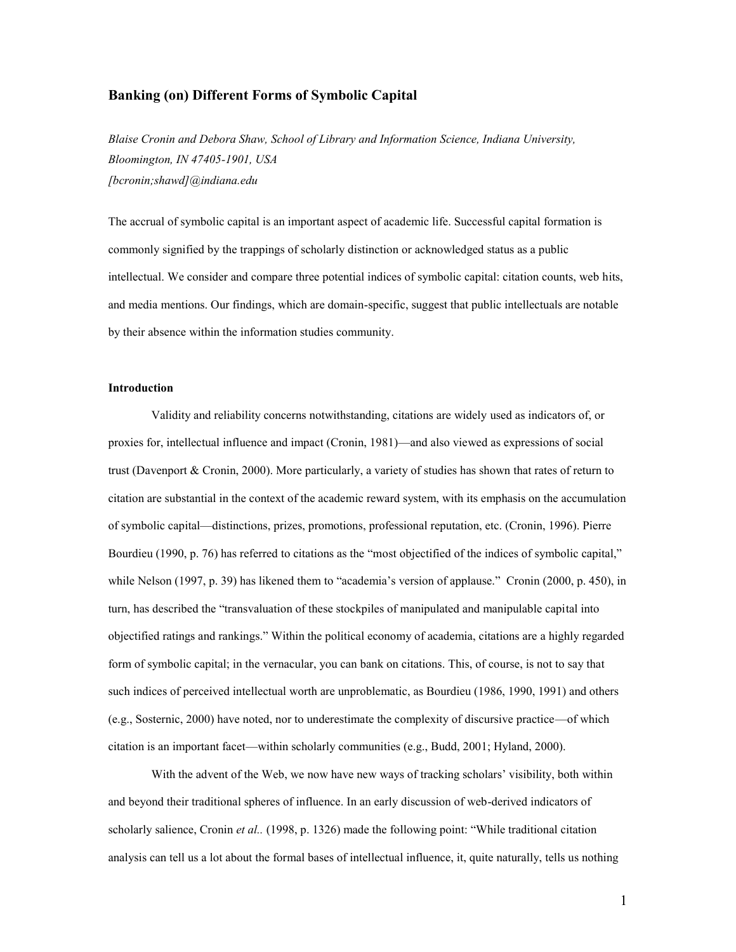# **Banking (on) Different Forms of Symbolic Capital**

*Blaise Cronin and Debora Shaw, School of Library and Information Science, Indiana University, Bloomington, IN 47405-1901, USA [bcronin;shawd]@indiana.edu* 

The accrual of symbolic capital is an important aspect of academic life. Successful capital formation is commonly signified by the trappings of scholarly distinction or acknowledged status as a public intellectual. We consider and compare three potential indices of symbolic capital: citation counts, web hits, and media mentions. Our findings, which are domain-specific, suggest that public intellectuals are notable by their absence within the information studies community.

#### **Introduction**

Validity and reliability concerns notwithstanding, citations are widely used as indicators of, or proxies for, intellectual influence and impact (Cronin, 1981)—and also viewed as expressions of social trust (Davenport & Cronin, 2000). More particularly, a variety of studies has shown that rates of return to citation are substantial in the context of the academic reward system, with its emphasis on the accumulation of symbolic capital—distinctions, prizes, promotions, professional reputation, etc. (Cronin, 1996). Pierre Bourdieu (1990, p. 76) has referred to citations as the "most objectified of the indices of symbolic capital," while Nelson (1997, p. 39) has likened them to "academia's version of applause." Cronin (2000, p. 450), in turn, has described the "transvaluation of these stockpiles of manipulated and manipulable capital into objectified ratings and rankings." Within the political economy of academia, citations are a highly regarded form of symbolic capital; in the vernacular, you can bank on citations. This, of course, is not to say that such indices of perceived intellectual worth are unproblematic, as Bourdieu (1986, 1990, 1991) and others (e.g., Sosternic, 2000) have noted, nor to underestimate the complexity of discursive practice—of which citation is an important facet—within scholarly communities (e.g., Budd, 2001; Hyland, 2000).

With the advent of the Web, we now have new ways of tracking scholars' visibility, both within and beyond their traditional spheres of influence. In an early discussion of web-derived indicators of scholarly salience, Cronin *et al..* (1998, p. 1326) made the following point: "While traditional citation analysis can tell us a lot about the formal bases of intellectual influence, it, quite naturally, tells us nothing

1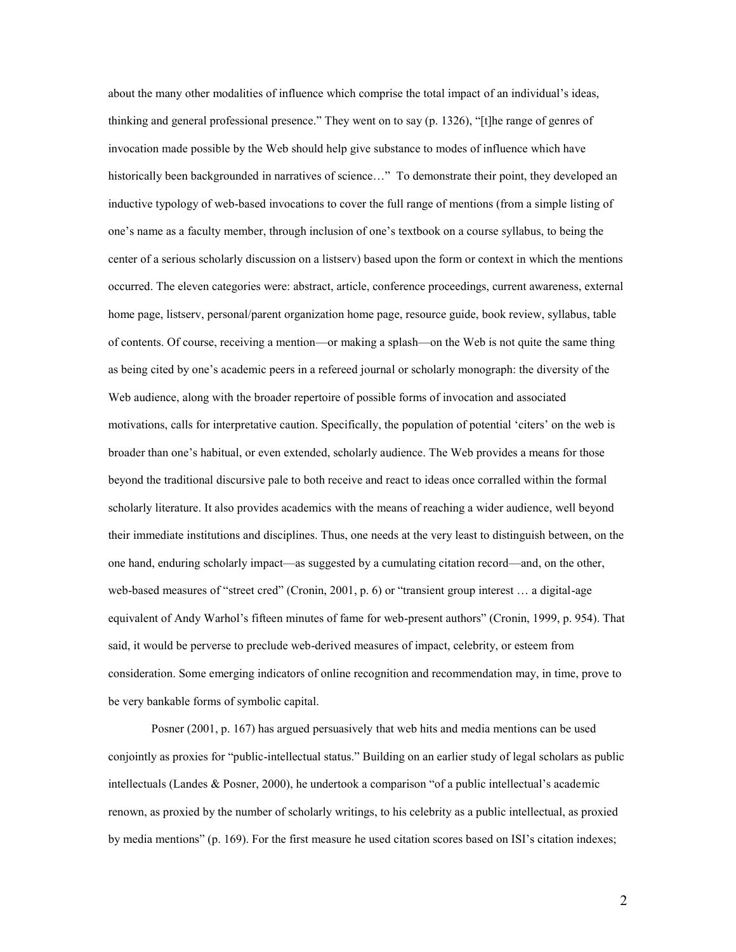about the many other modalities of influence which comprise the total impact of an individual"s ideas, thinking and general professional presence." They went on to say (p. 1326), "[t]he range of genres of invocation made possible by the Web should help give substance to modes of influence which have historically been backgrounded in narratives of science..." To demonstrate their point, they developed an inductive typology of web-based invocations to cover the full range of mentions (from a simple listing of one"s name as a faculty member, through inclusion of one"s textbook on a course syllabus, to being the center of a serious scholarly discussion on a listserv) based upon the form or context in which the mentions occurred. The eleven categories were: abstract, article, conference proceedings, current awareness, external home page, listserv, personal/parent organization home page, resource guide, book review, syllabus, table of contents. Of course, receiving a mention—or making a splash—on the Web is not quite the same thing as being cited by one"s academic peers in a refereed journal or scholarly monograph: the diversity of the Web audience, along with the broader repertoire of possible forms of invocation and associated motivations, calls for interpretative caution. Specifically, the population of potential "citers" on the web is broader than one"s habitual, or even extended, scholarly audience. The Web provides a means for those beyond the traditional discursive pale to both receive and react to ideas once corralled within the formal scholarly literature. It also provides academics with the means of reaching a wider audience, well beyond their immediate institutions and disciplines. Thus, one needs at the very least to distinguish between, on the one hand, enduring scholarly impact—as suggested by a cumulating citation record—and, on the other, web-based measures of "street cred" (Cronin, 2001, p. 6) or "transient group interest ... a digital-age equivalent of Andy Warhol"s fifteen minutes of fame for web-present authors" (Cronin, 1999, p. 954). That said, it would be perverse to preclude web-derived measures of impact, celebrity, or esteem from consideration. Some emerging indicators of online recognition and recommendation may, in time, prove to be very bankable forms of symbolic capital.

Posner (2001, p. 167) has argued persuasively that web hits and media mentions can be used conjointly as proxies for "public-intellectual status." Building on an earlier study of legal scholars as public intellectuals (Landes & Posner, 2000), he undertook a comparison "of a public intellectual"s academic renown, as proxied by the number of scholarly writings, to his celebrity as a public intellectual, as proxied by media mentions" (p. 169). For the first measure he used citation scores based on ISI"s citation indexes;

2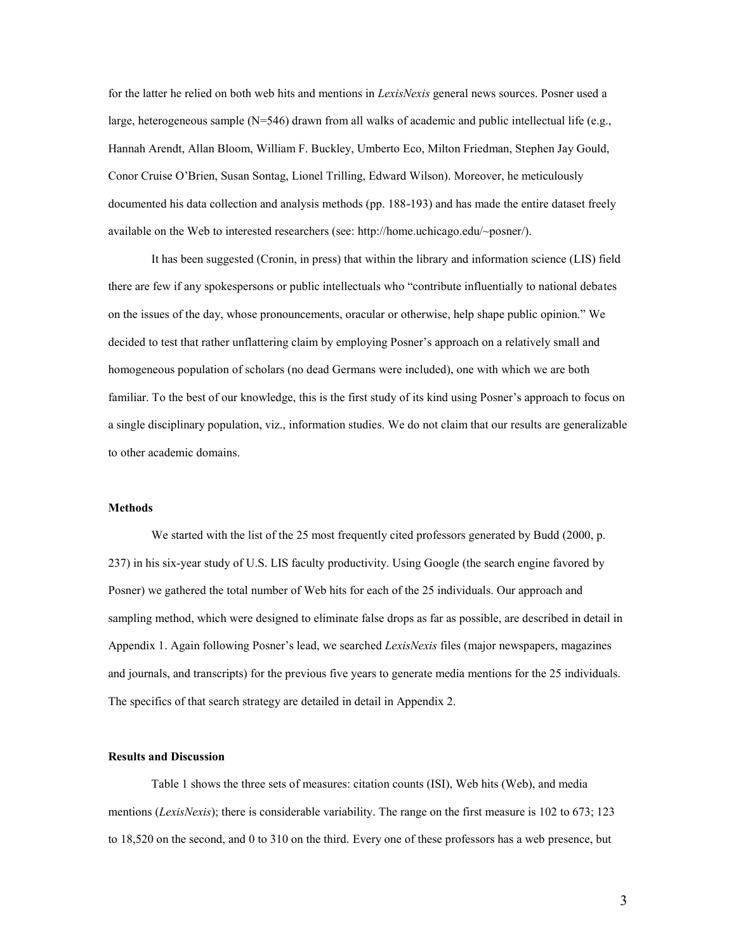for the latter he relied on both web hits and mentions in *LexisNexis* general news sources. Posner used a large, heterogeneous sample (N=546) drawn from all walks of academic and public intellectual life (e.g., Hannah Arendt, Allan Bloom, William F. Buckley, Umberto Eco, Milton Friedman, Stephen Jay Gould, Conor Cruise O"Brien, Susan Sontag, Lionel Trilling, Edward Wilson). Moreover, he meticulously documented his data collection and analysis methods (pp. 188-193) and has made the entire dataset freely available on the Web to interested researchers (see: http://home.uchicago.edu/~posner/).

It has been suggested (Cronin, in press) that within the library and information science (LIS) field there are few if any spokespersons or public intellectuals who "contribute influentially to national debates on the issues of the day, whose pronouncements, oracular or otherwise, help shape public opinion." We decided to test that rather unflattering claim by employing Posner"s approach on a relatively small and homogeneous population of scholars (no dead Germans were included), one with which we are both familiar. To the best of our knowledge, this is the first study of its kind using Posner"s approach to focus on a single disciplinary population, viz., information studies. We do not claim that our results are generalizable to other academic domains.

### **Methods**

We started with the list of the 25 most frequently cited professors generated by Budd (2000, p. 237) in his six-year study of U.S. LIS faculty productivity. Using Google (the search engine favored by Posner) we gathered the total number of Web hits for each of the 25 individuals. Our approach and sampling method, which were designed to eliminate false drops as far as possible, are described in detail in Appendix 1. Again following Posner"s lead, we searched *LexisNexis* files (major newspapers, magazines and journals, and transcripts) for the previous five years to generate media mentions for the 25 individuals. The specifics of that search strategy are detailed in detail in Appendix 2.

#### **Results and Discussion**

Table 1 shows the three sets of measures: citation counts (ISI), Web hits (Web), and media mentions (*LexisNexis*); there is considerable variability. The range on the first measure is 102 to 673; 123 to 18,520 on the second, and 0 to 310 on the third. Every one of these professors has a web presence, but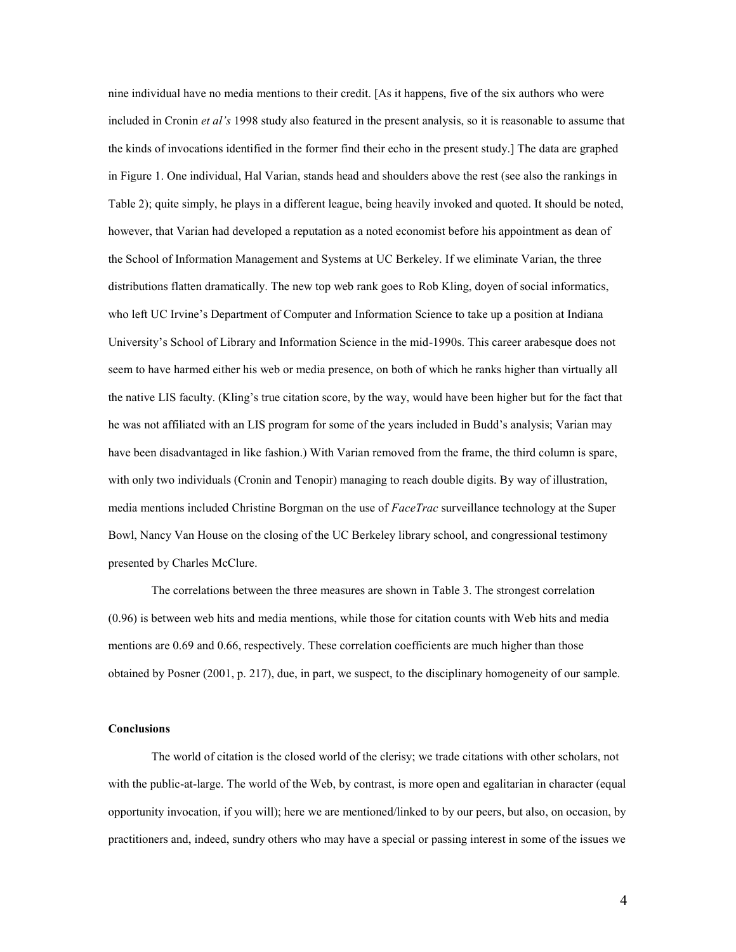nine individual have no media mentions to their credit. [As it happens, five of the six authors who were included in Cronin *et al's* 1998 study also featured in the present analysis, so it is reasonable to assume that the kinds of invocations identified in the former find their echo in the present study.] The data are graphed in Figure 1. One individual, Hal Varian, stands head and shoulders above the rest (see also the rankings in Table 2); quite simply, he plays in a different league, being heavily invoked and quoted. It should be noted, however, that Varian had developed a reputation as a noted economist before his appointment as dean of the School of Information Management and Systems at UC Berkeley. If we eliminate Varian, the three distributions flatten dramatically. The new top web rank goes to Rob Kling, doyen of social informatics, who left UC Irvine's Department of Computer and Information Science to take up a position at Indiana University"s School of Library and Information Science in the mid-1990s. This career arabesque does not seem to have harmed either his web or media presence, on both of which he ranks higher than virtually all the native LIS faculty. (Kling"s true citation score, by the way, would have been higher but for the fact that he was not affiliated with an LIS program for some of the years included in Budd"s analysis; Varian may have been disadvantaged in like fashion.) With Varian removed from the frame, the third column is spare, with only two individuals (Cronin and Tenopir) managing to reach double digits. By way of illustration, media mentions included Christine Borgman on the use of *FaceTrac* surveillance technology at the Super Bowl, Nancy Van House on the closing of the UC Berkeley library school, and congressional testimony presented by Charles McClure.

The correlations between the three measures are shown in Table 3. The strongest correlation (0.96) is between web hits and media mentions, while those for citation counts with Web hits and media mentions are 0.69 and 0.66, respectively. These correlation coefficients are much higher than those obtained by Posner (2001, p. 217), due, in part, we suspect, to the disciplinary homogeneity of our sample.

#### **Conclusions**

The world of citation is the closed world of the clerisy; we trade citations with other scholars, not with the public-at-large. The world of the Web, by contrast, is more open and egalitarian in character (equal opportunity invocation, if you will); here we are mentioned/linked to by our peers, but also, on occasion, by practitioners and, indeed, sundry others who may have a special or passing interest in some of the issues we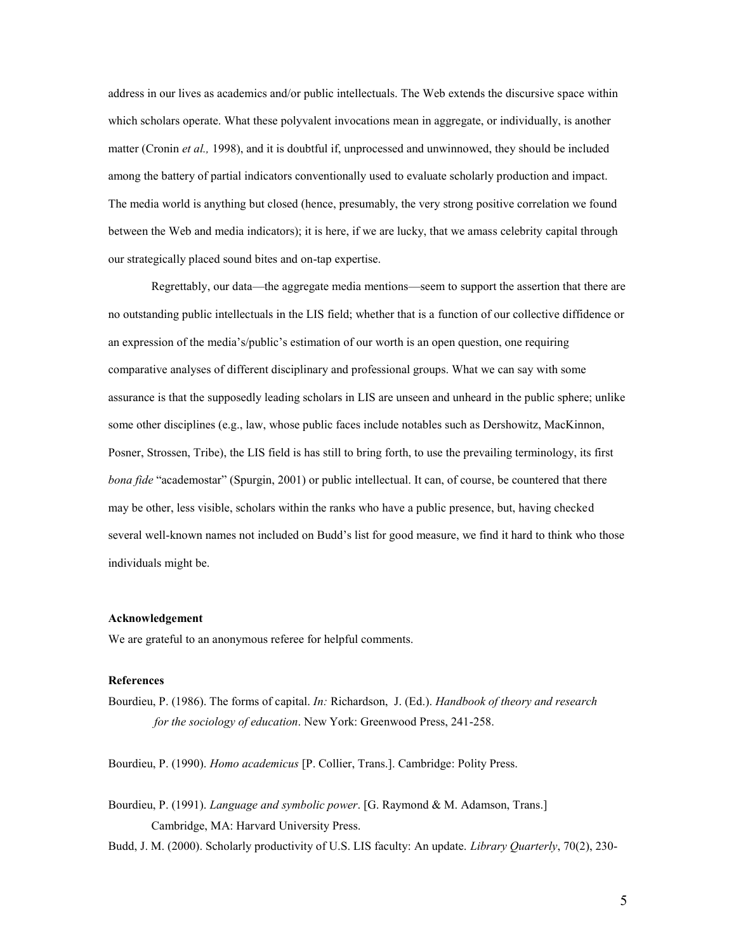address in our lives as academics and/or public intellectuals. The Web extends the discursive space within which scholars operate. What these polyvalent invocations mean in aggregate, or individually, is another matter (Cronin *et al.,* 1998), and it is doubtful if, unprocessed and unwinnowed, they should be included among the battery of partial indicators conventionally used to evaluate scholarly production and impact. The media world is anything but closed (hence, presumably, the very strong positive correlation we found between the Web and media indicators); it is here, if we are lucky, that we amass celebrity capital through our strategically placed sound bites and on-tap expertise.

Regrettably, our data—the aggregate media mentions—seem to support the assertion that there are no outstanding public intellectuals in the LIS field; whether that is a function of our collective diffidence or an expression of the media's/public's estimation of our worth is an open question, one requiring comparative analyses of different disciplinary and professional groups. What we can say with some assurance is that the supposedly leading scholars in LIS are unseen and unheard in the public sphere; unlike some other disciplines (e.g., law, whose public faces include notables such as Dershowitz, MacKinnon, Posner, Strossen, Tribe), the LIS field is has still to bring forth, to use the prevailing terminology, its first *bona fide* "academostar" (Spurgin, 2001) or public intellectual. It can, of course, be countered that there may be other, less visible, scholars within the ranks who have a public presence, but, having checked several well-known names not included on Budd"s list for good measure, we find it hard to think who those individuals might be.

### **Acknowledgement**

We are grateful to an anonymous referee for helpful comments.

# **References**

Bourdieu, P. (1986). The forms of capital. *In:* Richardson, J. (Ed.). *Handbook of theory and research for the sociology of education*. New York: Greenwood Press, 241-258.

Bourdieu, P. (1990). *Homo academicus* [P. Collier, Trans.]. Cambridge: Polity Press.

Bourdieu, P. (1991). *Language and symbolic power*. [G. Raymond & M. Adamson, Trans.] Cambridge, MA: Harvard University Press.

Budd, J. M. (2000). Scholarly productivity of U.S. LIS faculty: An update. *Library Quarterly*, 70(2), 230-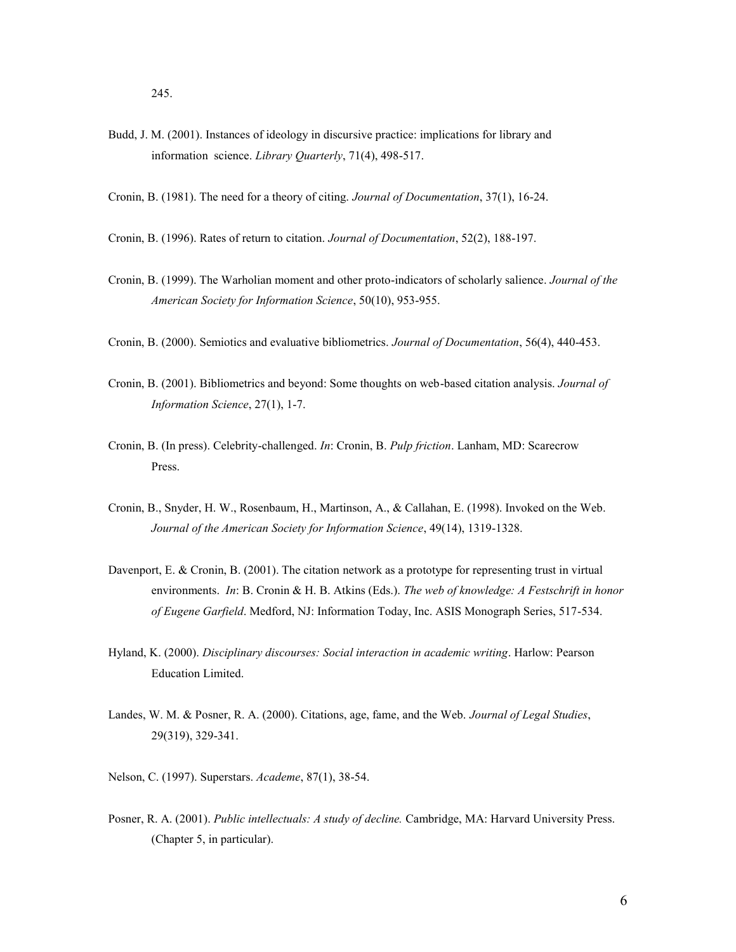- Budd, J. M. (2001). Instances of ideology in discursive practice: implications for library and information science. *Library Quarterly*, 71(4), 498-517.
- Cronin, B. (1981). The need for a theory of citing. *Journal of Documentation*, 37(1), 16-24.
- Cronin, B. (1996). Rates of return to citation. *Journal of Documentation*, 52(2), 188-197.
- Cronin, B. (1999). The Warholian moment and other proto-indicators of scholarly salience. *Journal of the American Society for Information Science*, 50(10), 953-955.
- Cronin, B. (2000). Semiotics and evaluative bibliometrics. *Journal of Documentation*, 56(4), 440-453.
- Cronin, B. (2001). Bibliometrics and beyond: Some thoughts on web-based citation analysis. *Journal of Information Science*, 27(1), 1-7.
- Cronin, B. (In press). Celebrity-challenged. *In*: Cronin, B. *Pulp friction*. Lanham, MD: Scarecrow Press.
- Cronin, B., Snyder, H. W., Rosenbaum, H., Martinson, A., & Callahan, E. (1998). Invoked on the Web. *Journal of the American Society for Information Science*, 49(14), 1319-1328.
- Davenport, E. & Cronin, B. (2001). The citation network as a prototype for representing trust in virtual environments. *In*: B. Cronin & H. B. Atkins (Eds.). *The web of knowledge: A Festschrift in honor of Eugene Garfield*. Medford, NJ: Information Today, Inc. ASIS Monograph Series, 517-534.
- Hyland, K. (2000). *Disciplinary discourses: Social interaction in academic writing*. Harlow: Pearson Education Limited.
- Landes, W. M. & Posner, R. A. (2000). Citations, age, fame, and the Web. *Journal of Legal Studies*, 29(319), 329-341.
- Nelson, C. (1997). Superstars. *Academe*, 87(1), 38-54.
- Posner, R. A. (2001). *Public intellectuals: A study of decline.* Cambridge, MA: Harvard University Press. (Chapter 5, in particular).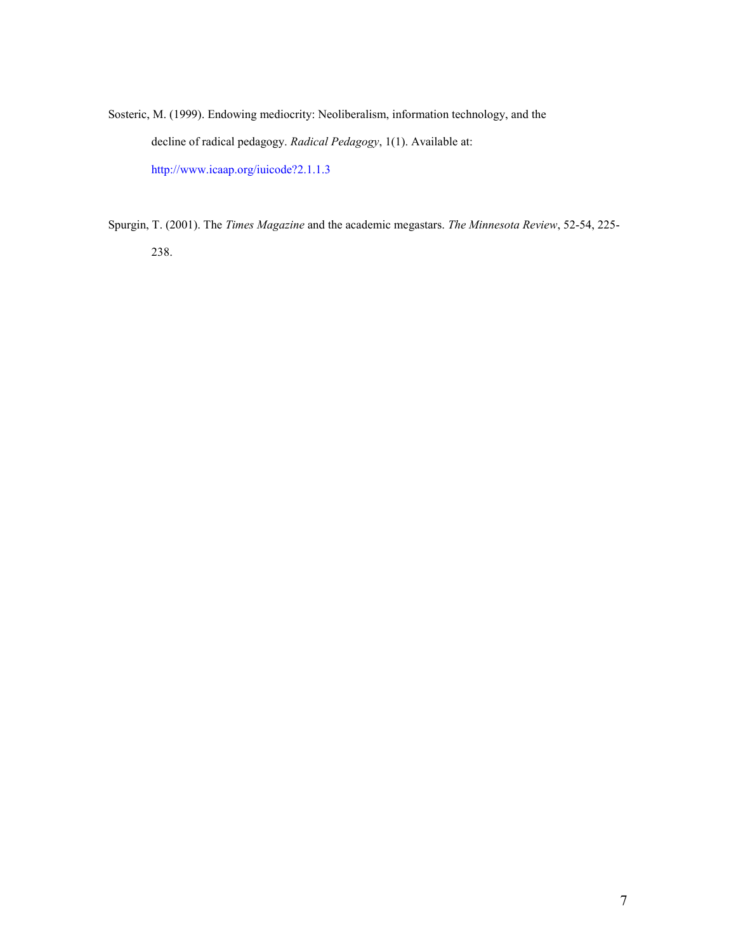Sosteric, M. (1999). Endowing mediocrity: Neoliberalism, information technology, and the decline of radical pedagogy. *Radical Pedagogy*, 1(1). Available at: <http://www.icaap.org/iuicode?2.1.1.3>

Spurgin, T. (2001). The *Times Magazine* and the academic megastars. *The Minnesota Review*, 52-54, 225- 238.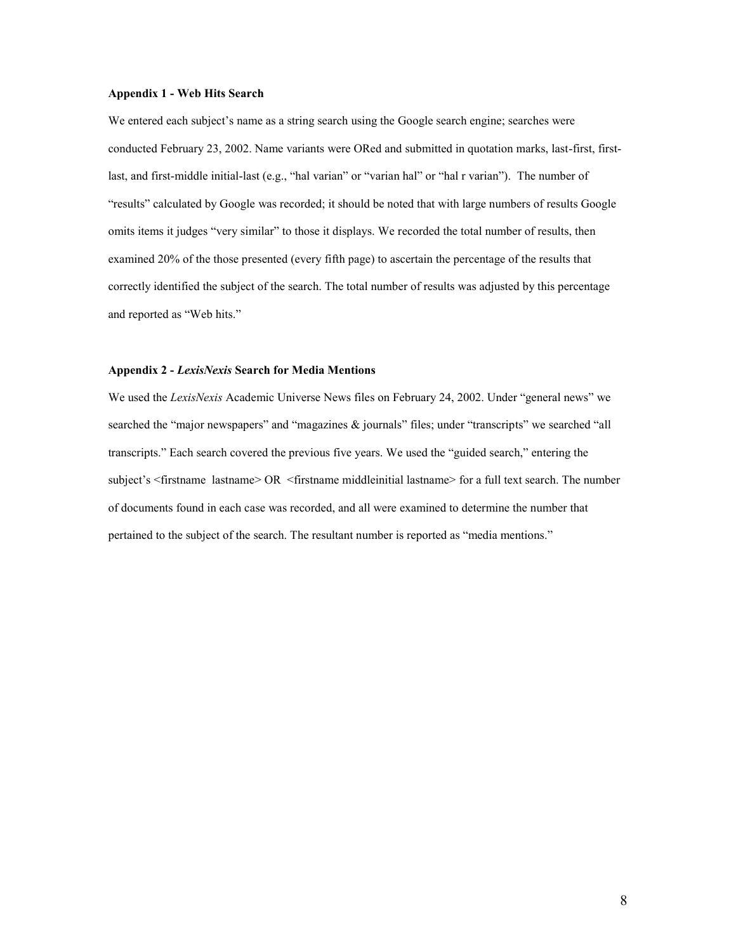## **Appendix 1 - Web Hits Search**

We entered each subject's name as a string search using the Google search engine; searches were conducted February 23, 2002. Name variants were ORed and submitted in quotation marks, last-first, firstlast, and first-middle initial-last (e.g., "hal varian" or "varian hal" or "hal r varian"). The number of "results" calculated by Google was recorded; it should be noted that with large numbers of results Google omits items it judges "very similar" to those it displays. We recorded the total number of results, then examined 20% of the those presented (every fifth page) to ascertain the percentage of the results that correctly identified the subject of the search. The total number of results was adjusted by this percentage and reported as "Web hits."

## **Appendix 2 -** *LexisNexis* **Search for Media Mentions**

We used the *LexisNexis* Academic Universe News files on February 24, 2002. Under "general news" we searched the "major newspapers" and "magazines  $\&$  journals" files; under "transcripts" we searched "all transcripts." Each search covered the previous five years. We used the "guided search," entering the subject"s <firstname lastname> OR <firstname middleinitial lastname> for a full text search. The number of documents found in each case was recorded, and all were examined to determine the number that pertained to the subject of the search. The resultant number is reported as "media mentions."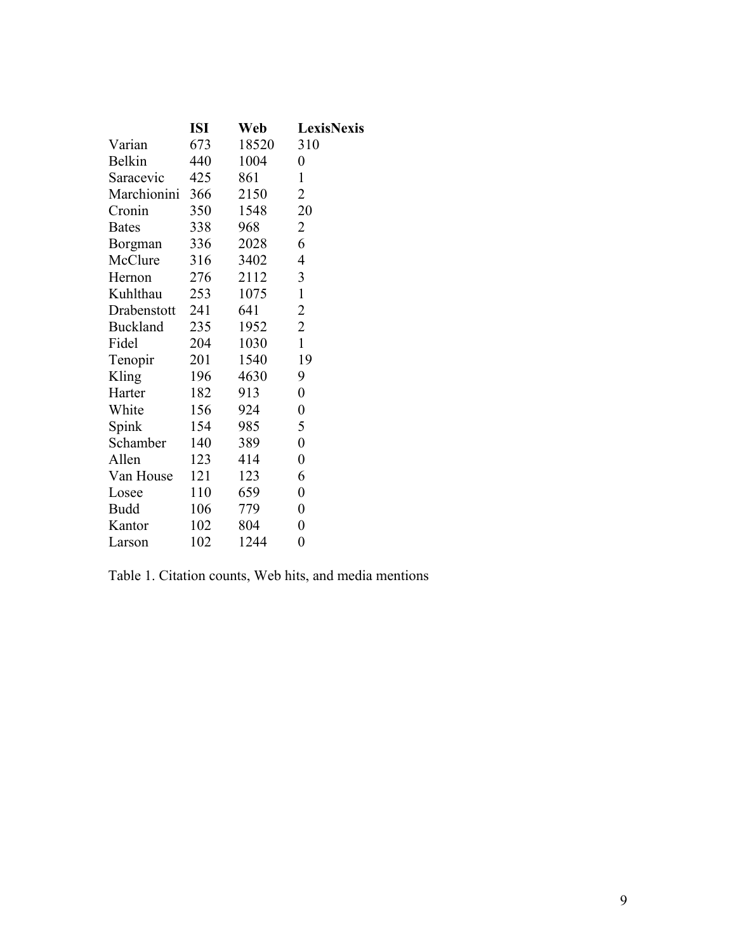|                 | <b>ISI</b> | Web   | LexisNexis       |
|-----------------|------------|-------|------------------|
| Varian          | 673        | 18520 | 310              |
| <b>Belkin</b>   | 440        | 1004  | $\boldsymbol{0}$ |
| Saracevic       | 425        | 861   | $\mathbf{1}$     |
| Marchionini     | 366        | 2150  | $\overline{2}$   |
| Cronin          | 350        | 1548  | 20               |
| <b>Bates</b>    | 338        | 968   | $\overline{2}$   |
| Borgman         | 336        | 2028  | 6                |
| McClure         | 316        | 3402  | 4                |
| Hernon          | 276        | 2112  | 3                |
| Kuhlthau        | 253        | 1075  | $\mathbf{1}$     |
| Drabenstott     | 241        | 641   | $\overline{2}$   |
| <b>Buckland</b> | 235        | 1952  | $\overline{2}$   |
| Fidel           | 204        | 1030  | $\mathbf{1}$     |
| Tenopir         | 201        | 1540  | 19               |
| Kling           | 196        | 4630  | 9                |
| Harter          | 182        | 913   | $\boldsymbol{0}$ |
| White           | 156        | 924   | $\boldsymbol{0}$ |
| Spink           | 154        | 985   | 5                |
| Schamber        | 140        | 389   | $\boldsymbol{0}$ |
| Allen           | 123        | 414   | $\boldsymbol{0}$ |
| Van House       | 121        | 123   | 6                |
| Losee           | 110        | 659   | $\boldsymbol{0}$ |
| <b>Budd</b>     | 106        | 779   | $\boldsymbol{0}$ |
| Kantor          | 102        | 804   | $\boldsymbol{0}$ |
| Larson          | 102        | 1244  | $\boldsymbol{0}$ |

Table 1. Citation counts, Web hits, and media mentions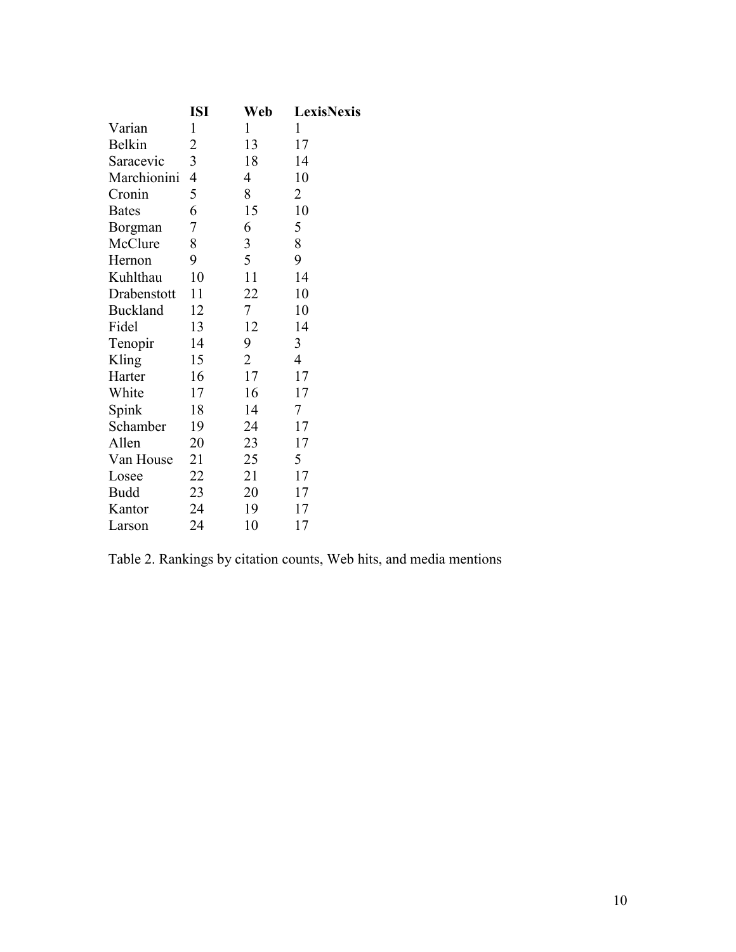|                 | <b>ISI</b>     | Web            | LexisNexis |
|-----------------|----------------|----------------|------------|
| Varian          | 1              | 1              | 1          |
| <b>Belkin</b>   | $\overline{c}$ | 13             | 17         |
| Saracevic       | 3              | 18             | 14         |
| Marchionini     | 4              | 4              | 10         |
| Cronin          | 5              | 8              | 2          |
| <b>Bates</b>    | 6              | 15             | 10         |
| Borgman         | 7              | 6              | 5          |
| McClure         | 8              | $\mathfrak{Z}$ | 8          |
| Hernon          | 9              | 5              | 9          |
| Kuhlthau        | 10             | 11             | 14         |
| Drabenstott     | 11             | 22             | 10         |
| <b>Buckland</b> | 12             | $\tau$         | 10         |
| Fidel           | 13             | 12             | 14         |
| Tenopir         | 14             | 9              | 3          |
| Kling           | 15             | 2              | 4          |
| Harter          | 16             | 17             | 17         |
| White           | 17             | 16             | 17         |
| Spink           | 18             | 14             | 7          |
| Schamber        | 19             | 24             | 17         |
| Allen           | 20             | 23             | 17         |
| Van House       | 21             | 25             | 5          |
| Losee           | 22             | 21             | 17         |
| <b>Budd</b>     | 23             | 20             | 17         |
| Kantor          | 24             | 19             | 17         |
| Larson          | 24             | 10             | 17         |

Table 2. Rankings by citation counts, Web hits, and media mentions